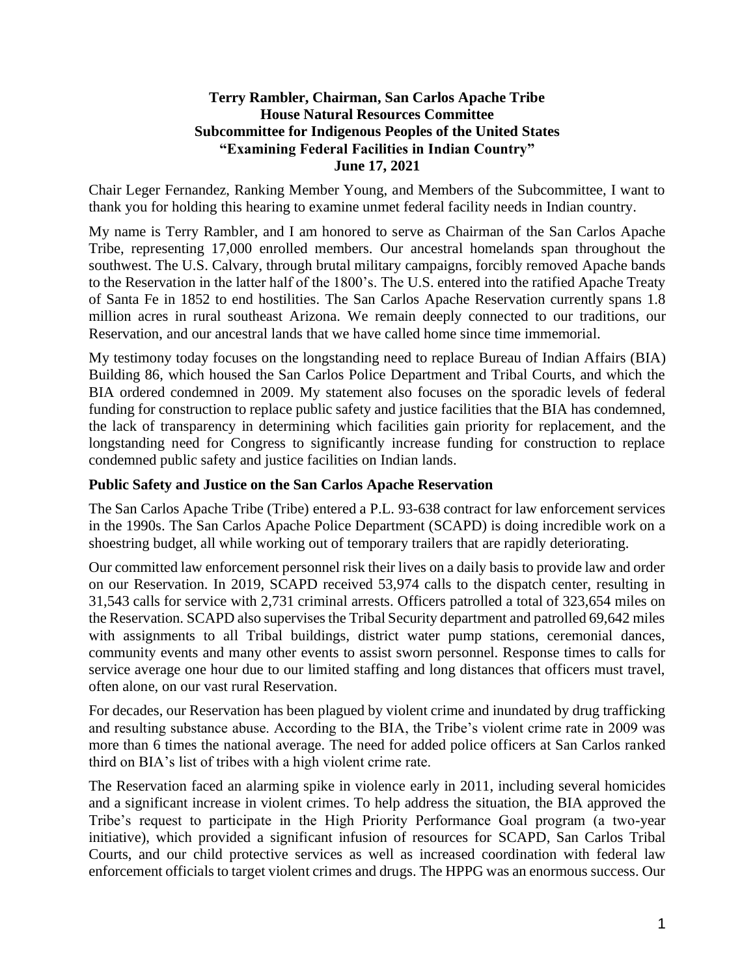## **Terry Rambler, Chairman, San Carlos Apache Tribe House Natural Resources Committee Subcommittee for Indigenous Peoples of the United States "Examining Federal Facilities in Indian Country" June 17, 2021**

Chair Leger Fernandez, Ranking Member Young, and Members of the Subcommittee, I want to thank you for holding this hearing to examine unmet federal facility needs in Indian country.

My name is Terry Rambler, and I am honored to serve as Chairman of the San Carlos Apache Tribe, representing 17,000 enrolled members. Our ancestral homelands span throughout the southwest. The U.S. Calvary, through brutal military campaigns, forcibly removed Apache bands to the Reservation in the latter half of the 1800's. The U.S. entered into the ratified Apache Treaty of Santa Fe in 1852 to end hostilities. The San Carlos Apache Reservation currently spans 1.8 million acres in rural southeast Arizona. We remain deeply connected to our traditions, our Reservation, and our ancestral lands that we have called home since time immemorial.

My testimony today focuses on the longstanding need to replace Bureau of Indian Affairs (BIA) Building 86, which housed the San Carlos Police Department and Tribal Courts, and which the BIA ordered condemned in 2009. My statement also focuses on the sporadic levels of federal funding for construction to replace public safety and justice facilities that the BIA has condemned, the lack of transparency in determining which facilities gain priority for replacement, and the longstanding need for Congress to significantly increase funding for construction to replace condemned public safety and justice facilities on Indian lands.

## **Public Safety and Justice on the San Carlos Apache Reservation**

The San Carlos Apache Tribe (Tribe) entered a P.L. 93-638 contract for law enforcement services in the 1990s. The San Carlos Apache Police Department (SCAPD) is doing incredible work on a shoestring budget, all while working out of temporary trailers that are rapidly deteriorating.

Our committed law enforcement personnel risk their lives on a daily basis to provide law and order on our Reservation. In 2019, SCAPD received 53,974 calls to the dispatch center, resulting in 31,543 calls for service with 2,731 criminal arrests. Officers patrolled a total of 323,654 miles on the Reservation. SCAPD also supervises the Tribal Security department and patrolled 69,642 miles with assignments to all Tribal buildings, district water pump stations, ceremonial dances, community events and many other events to assist sworn personnel. Response times to calls for service average one hour due to our limited staffing and long distances that officers must travel, often alone, on our vast rural Reservation.

For decades, our Reservation has been plagued by violent crime and inundated by drug trafficking and resulting substance abuse. According to the BIA, the Tribe's violent crime rate in 2009 was more than 6 times the national average. The need for added police officers at San Carlos ranked third on BIA's list of tribes with a high violent crime rate.

The Reservation faced an alarming spike in violence early in 2011, including several homicides and a significant increase in violent crimes. To help address the situation, the BIA approved the Tribe's request to participate in the High Priority Performance Goal program (a two-year initiative), which provided a significant infusion of resources for SCAPD, San Carlos Tribal Courts, and our child protective services as well as increased coordination with federal law enforcement officials to target violent crimes and drugs. The HPPG was an enormous success. Our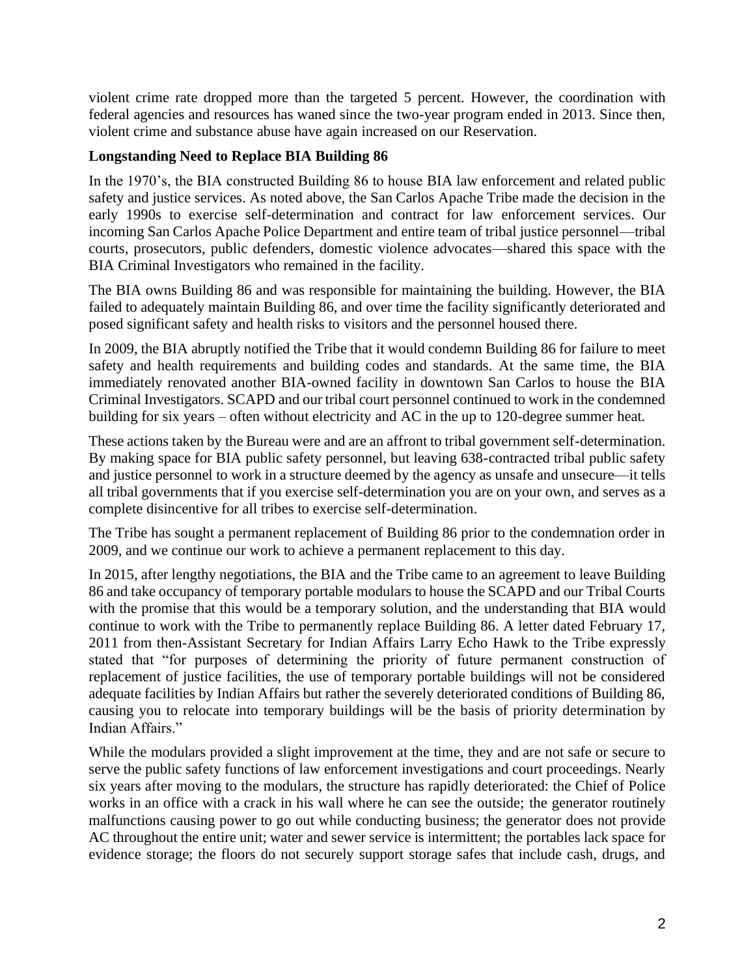violent crime rate dropped more than the targeted 5 percent. However, the coordination with federal agencies and resources has waned since the two-year program ended in 2013. Since then, violent crime and substance abuse have again increased on our Reservation.

# **Longstanding Need to Replace BIA Building 86**

In the 1970's, the BIA constructed Building 86 to house BIA law enforcement and related public safety and justice services. As noted above, the San Carlos Apache Tribe made the decision in the early 1990s to exercise self-determination and contract for law enforcement services. Our incoming San Carlos Apache Police Department and entire team of tribal justice personnel—tribal courts, prosecutors, public defenders, domestic violence advocates—shared this space with the BIA Criminal Investigators who remained in the facility.

The BIA owns Building 86 and was responsible for maintaining the building. However, the BIA failed to adequately maintain Building 86, and over time the facility significantly deteriorated and posed significant safety and health risks to visitors and the personnel housed there.

In 2009, the BIA abruptly notified the Tribe that it would condemn Building 86 for failure to meet safety and health requirements and building codes and standards. At the same time, the BIA immediately renovated another BIA-owned facility in downtown San Carlos to house the BIA Criminal Investigators. SCAPD and our tribal court personnel continued to work in the condemned building for six years – often without electricity and AC in the up to 120-degree summer heat.

These actions taken by the Bureau were and are an affront to tribal government self-determination. By making space for BIA public safety personnel, but leaving 638-contracted tribal public safety and justice personnel to work in a structure deemed by the agency as unsafe and unsecure—it tells all tribal governments that if you exercise self-determination you are on your own, and serves as a complete disincentive for all tribes to exercise self-determination.

The Tribe has sought a permanent replacement of Building 86 prior to the condemnation order in 2009, and we continue our work to achieve a permanent replacement to this day.

In 2015, after lengthy negotiations, the BIA and the Tribe came to an agreement to leave Building 86 and take occupancy of temporary portable modulars to house the SCAPD and our Tribal Courts with the promise that this would be a temporary solution, and the understanding that BIA would continue to work with the Tribe to permanently replace Building 86. A letter dated February 17, 2011 from then-Assistant Secretary for Indian Affairs Larry Echo Hawk to the Tribe expressly stated that "for purposes of determining the priority of future permanent construction of replacement of justice facilities, the use of temporary portable buildings will not be considered adequate facilities by Indian Affairs but rather the severely deteriorated conditions of Building 86, causing you to relocate into temporary buildings will be the basis of priority determination by Indian Affairs."

While the modulars provided a slight improvement at the time, they and are not safe or secure to serve the public safety functions of law enforcement investigations and court proceedings. Nearly six years after moving to the modulars, the structure has rapidly deteriorated: the Chief of Police works in an office with a crack in his wall where he can see the outside; the generator routinely malfunctions causing power to go out while conducting business; the generator does not provide AC throughout the entire unit; water and sewer service is intermittent; the portables lack space for evidence storage; the floors do not securely support storage safes that include cash, drugs, and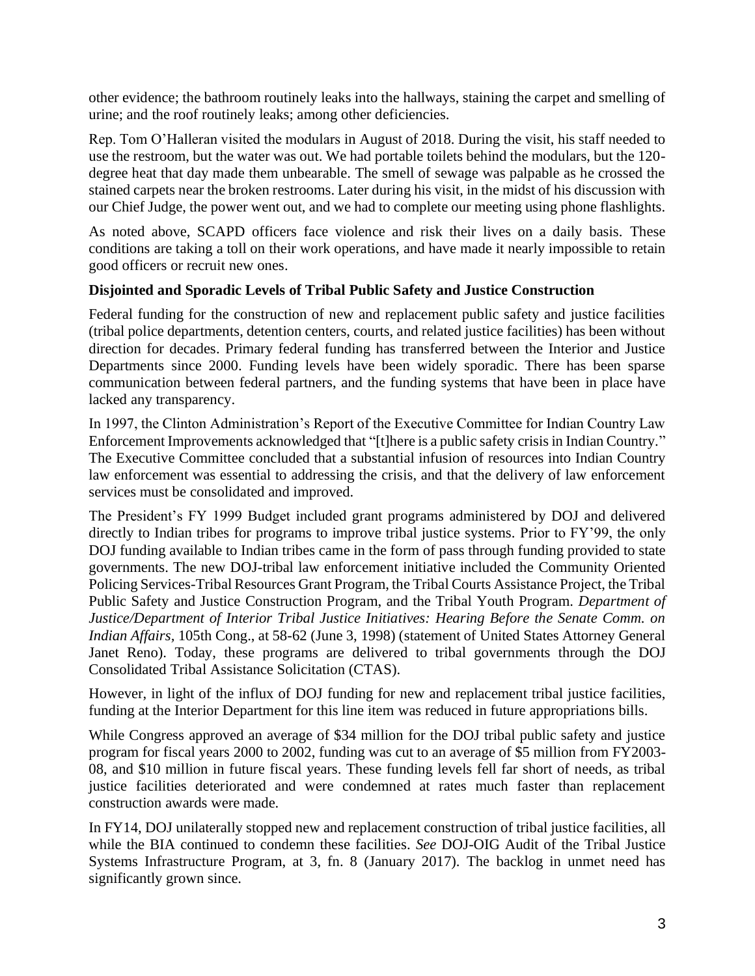other evidence; the bathroom routinely leaks into the hallways, staining the carpet and smelling of urine; and the roof routinely leaks; among other deficiencies.

Rep. Tom O'Halleran visited the modulars in August of 2018. During the visit, his staff needed to use the restroom, but the water was out. We had portable toilets behind the modulars, but the 120 degree heat that day made them unbearable. The smell of sewage was palpable as he crossed the stained carpets near the broken restrooms. Later during his visit, in the midst of his discussion with our Chief Judge, the power went out, and we had to complete our meeting using phone flashlights.

As noted above, SCAPD officers face violence and risk their lives on a daily basis. These conditions are taking a toll on their work operations, and have made it nearly impossible to retain good officers or recruit new ones.

### **Disjointed and Sporadic Levels of Tribal Public Safety and Justice Construction**

Federal funding for the construction of new and replacement public safety and justice facilities (tribal police departments, detention centers, courts, and related justice facilities) has been without direction for decades. Primary federal funding has transferred between the Interior and Justice Departments since 2000. Funding levels have been widely sporadic. There has been sparse communication between federal partners, and the funding systems that have been in place have lacked any transparency.

In 1997, the Clinton Administration's Report of the Executive Committee for Indian Country Law Enforcement Improvements acknowledged that "[t]here is a public safety crisis in Indian Country." The Executive Committee concluded that a substantial infusion of resources into Indian Country law enforcement was essential to addressing the crisis, and that the delivery of law enforcement services must be consolidated and improved.

The President's FY 1999 Budget included grant programs administered by DOJ and delivered directly to Indian tribes for programs to improve tribal justice systems. Prior to FY'99, the only DOJ funding available to Indian tribes came in the form of pass through funding provided to state governments. The new DOJ-tribal law enforcement initiative included the Community Oriented Policing Services-Tribal Resources Grant Program, the Tribal Courts Assistance Project, the Tribal Public Safety and Justice Construction Program, and the Tribal Youth Program. *Department of Justice/Department of Interior Tribal Justice Initiatives: Hearing Before the Senate Comm. on Indian Affairs,* 105th Cong., at 58-62 (June 3, 1998) (statement of United States Attorney General Janet Reno). Today, these programs are delivered to tribal governments through the DOJ Consolidated Tribal Assistance Solicitation (CTAS).

However, in light of the influx of DOJ funding for new and replacement tribal justice facilities, funding at the Interior Department for this line item was reduced in future appropriations bills.

While Congress approved an average of \$34 million for the DOJ tribal public safety and justice program for fiscal years 2000 to 2002, funding was cut to an average of \$5 million from FY2003- 08, and \$10 million in future fiscal years. These funding levels fell far short of needs, as tribal justice facilities deteriorated and were condemned at rates much faster than replacement construction awards were made.

In FY14, DOJ unilaterally stopped new and replacement construction of tribal justice facilities, all while the BIA continued to condemn these facilities. *See* DOJ-OIG Audit of the Tribal Justice Systems Infrastructure Program, at 3, fn. 8 (January 2017). The backlog in unmet need has significantly grown since.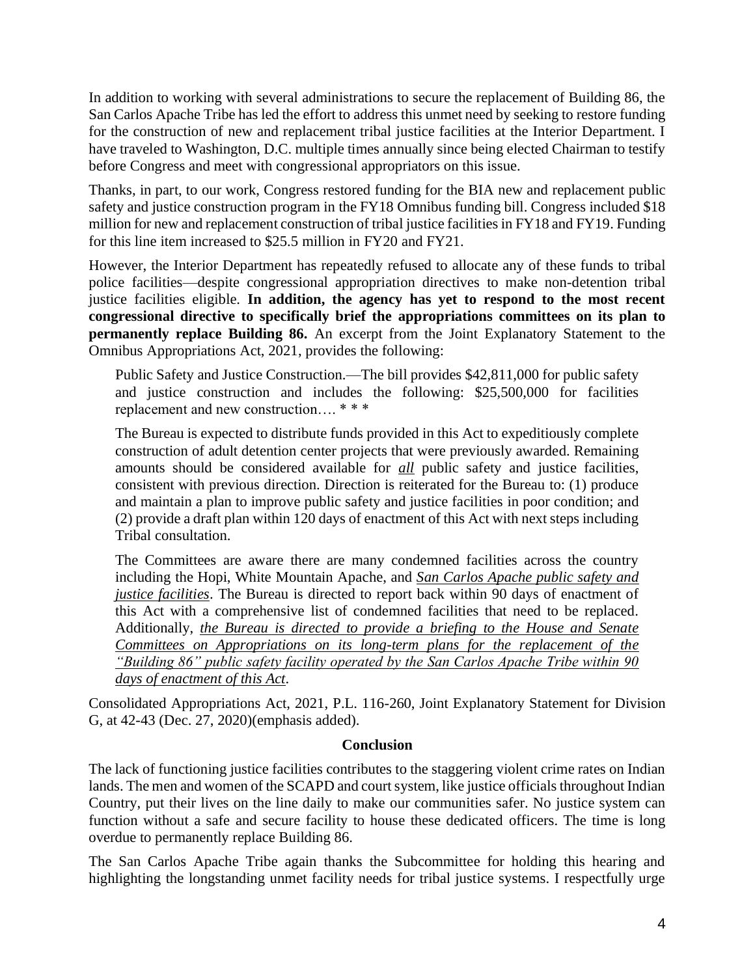In addition to working with several administrations to secure the replacement of Building 86, the San Carlos Apache Tribe has led the effort to address this unmet need by seeking to restore funding for the construction of new and replacement tribal justice facilities at the Interior Department. I have traveled to Washington, D.C. multiple times annually since being elected Chairman to testify before Congress and meet with congressional appropriators on this issue.

Thanks, in part, to our work, Congress restored funding for the BIA new and replacement public safety and justice construction program in the FY18 Omnibus funding bill. Congress included \$18 million for new and replacement construction of tribal justice facilities in FY18 and FY19. Funding for this line item increased to \$25.5 million in FY20 and FY21.

However, the Interior Department has repeatedly refused to allocate any of these funds to tribal police facilities—despite congressional appropriation directives to make non-detention tribal justice facilities eligible. **In addition, the agency has yet to respond to the most recent congressional directive to specifically brief the appropriations committees on its plan to permanently replace Building 86.** An excerpt from the Joint Explanatory Statement to the Omnibus Appropriations Act, 2021, provides the following:

Public Safety and Justice Construction.—The bill provides \$42,811,000 for public safety and justice construction and includes the following: \$25,500,000 for facilities replacement and new construction…. \* \* \*

The Bureau is expected to distribute funds provided in this Act to expeditiously complete construction of adult detention center projects that were previously awarded. Remaining amounts should be considered available for *all* public safety and justice facilities, consistent with previous direction. Direction is reiterated for the Bureau to: (1) produce and maintain a plan to improve public safety and justice facilities in poor condition; and (2) provide a draft plan within 120 days of enactment of this Act with next steps including Tribal consultation.

The Committees are aware there are many condemned facilities across the country including the Hopi, White Mountain Apache, and *San Carlos Apache public safety and justice facilities*. The Bureau is directed to report back within 90 days of enactment of this Act with a comprehensive list of condemned facilities that need to be replaced. Additionally, *the Bureau is directed to provide a briefing to the House and Senate Committees on Appropriations on its long-term plans for the replacement of the "Building 86" public safety facility operated by the San Carlos Apache Tribe within 90 days of enactment of this Act*.

Consolidated Appropriations Act, 2021, P.L. 116-260, Joint Explanatory Statement for Division G, at 42-43 (Dec. 27, 2020)(emphasis added).

#### **Conclusion**

The lack of functioning justice facilities contributes to the staggering violent crime rates on Indian lands. The men and women of the SCAPD and court system, like justice officials throughout Indian Country, put their lives on the line daily to make our communities safer. No justice system can function without a safe and secure facility to house these dedicated officers. The time is long overdue to permanently replace Building 86.

The San Carlos Apache Tribe again thanks the Subcommittee for holding this hearing and highlighting the longstanding unmet facility needs for tribal justice systems. I respectfully urge